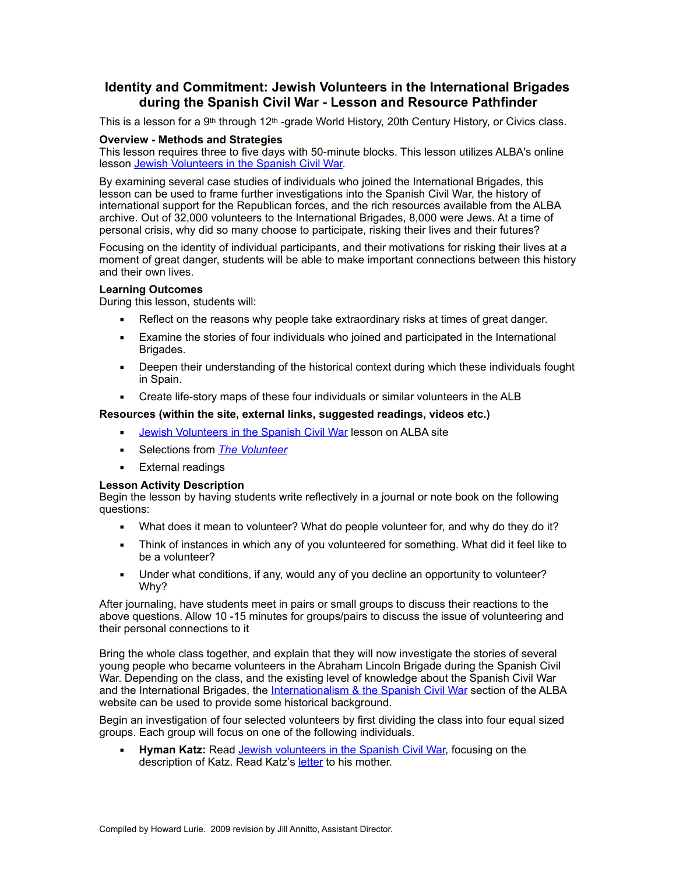# **Identity and Commitment: Jewish Volunteers in the International Brigades during the Spanish Civil War - Lesson and Resource Pathfinder**

This is a lesson for a 9<sup>th</sup> through 12<sup>th</sup> -grade World History, 20th Century History, or Civics class.

## **Overview - Methods and Strategies**

This lesson requires three to five days with 50-minute blocks. This lesson utilizes ALBA's online lesson [Jewish Volunteers in the Spanish Civil War.](http://www.alba-valb.org/resources/lessons/jewish-volunteers-in-the-spanish-civil-war/why-spain)

By examining several case studies of individuals who joined the International Brigades, this lesson can be used to frame further investigations into the Spanish Civil War, the history of international support for the Republican forces, and the rich resources available from the ALBA archive. Out of 32,000 volunteers to the International Brigades, 8,000 were Jews. At a time of personal crisis, why did so many choose to participate, risking their lives and their futures?

Focusing on the identity of individual participants, and their motivations for risking their lives at a moment of great danger, students will be able to make important connections between this history and their own lives.

## **Learning Outcomes**

During this lesson, students will:

- Reflect on the reasons why people take extraordinary risks at times of great danger.
- **Examine the stories of four individuals who joined and participated in the International** Brigades.
- **•** Deepen their understanding of the historical context during which these individuals fought in Spain.
- Create life-story maps of these four individuals or similar volunteers in the ALB

#### **Resources (within the site, external links, suggested readings, videos etc.)**

- **[Jewish Volunteers in the Spanish Civil War](http://www.alba-valb.org/resources/lessons/jewish-volunteers-in-the-spanish-civil-war/why-spain) lesson on ALBA site**
- **EXECTED** Selections from *[The Volunteer](http://www.alba-valb.org/news-events/the-volunteer)*
- **External readings**

## **Lesson Activity Description**

Begin the lesson by having students write reflectively in a journal or note book on the following questions:

- What does it mean to volunteer? What do people volunteer for, and why do they do it?
- **•** Think of instances in which any of you volunteered for something. What did it feel like to be a volunteer?
- Under what conditions, if any, would any of you decline an opportunity to volunteer? Why?

After journaling, have students meet in pairs or small groups to discuss their reactions to the above questions. Allow 10 -15 minutes for groups/pairs to discuss the issue of volunteering and their personal connections to it

Bring the whole class together, and explain that they will now investigate the stories of several young people who became volunteers in the Abraham Lincoln Brigade during the Spanish Civil War. Depending on the class, and the existing level of knowledge about the Spanish Civil War and the International Brigades, the [Internationalism & the Spanish Civil War](http://www.alba-valb.org/resources/lessons/jewish-volunteers-in-the-spanish-civil-war/internationalism-the-spanish-civil-war) section of the ALBA website can be used to provide some historical background.

Begin an investigation of four selected volunteers by first dividing the class into four equal sized groups. Each group will focus on one of the following individuals.

**Hyman Katz:** Read [Jewish volunteers in the Spanish Civil War,](http://www.alba-valb.org/curriculum/index.php?module=1&page=P008) focusing on the description of Katz. Read Katz's [letter](http://www.alba-valb.org/resources/document-library/letter-from-hyman-katz-to-his-mother) to his mother.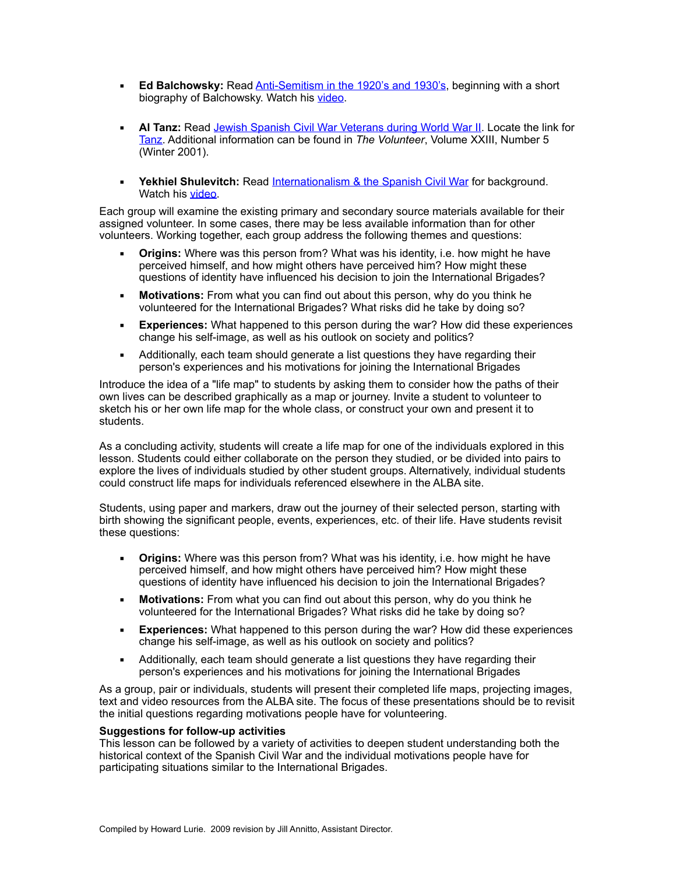- **Ed Balchowsky:** Read [Anti-Semitism in the 1920's and 1930's](http://www.alba-valb.org/resources/lessons/jewish-volunteers-in-the-spanish-civil-war/anti-semitism-in-the-1920s-and-1930s), beginning with a short biography of Balchowsky. Watch his [video.](http://www.lib.usf.edu/ldsu/digitalcollections/S39/video/Balchowsky.ram)
- Al Tanz: Read [Jewish Spanish Civil War Veterans during World War II](http://www.alba-valb.org/resources/lessons/jewish-volunteers-in-the-spanish-civil-war/jewish-spanish-civil-war-veterans-during-world-war-ii). Locate the link for [Tanz](http://www.alba-valb.org/volunteers/al-tanz). Additional information can be found in *The Volunteer*, Volume XXIII, Number 5 (Winter 2001).
- **EXERGIER 19 Yekhiel Shulevitch:** Read [Internationalism & the Spanish Civil War](http://www.alba-valb.org/resources/lessons/jewish-volunteers-in-the-spanish-civil-war/internationalism-the-spanish-civil-war) for background. Watch his [video](http://www.lib.usf.edu/ldsu/digitalcollections/S39/video/sulewic.ram).

Each group will examine the existing primary and secondary source materials available for their assigned volunteer. In some cases, there may be less available information than for other volunteers. Working together, each group address the following themes and questions:

- **Origins:** Where was this person from? What was his identity, i.e. how might he have perceived himself, and how might others have perceived him? How might these questions of identity have influenced his decision to join the International Brigades?
- **Motivations:** From what you can find out about this person, why do you think he volunteered for the International Brigades? What risks did he take by doing so?
- **Experiences:** What happened to this person during the war? How did these experiences change his self-image, as well as his outlook on society and politics?
- **EXED** Additionally, each team should generate a list questions they have regarding their person's experiences and his motivations for joining the International Brigades

Introduce the idea of a "life map" to students by asking them to consider how the paths of their own lives can be described graphically as a map or journey. Invite a student to volunteer to sketch his or her own life map for the whole class, or construct your own and present it to students.

As a concluding activity, students will create a life map for one of the individuals explored in this lesson. Students could either collaborate on the person they studied, or be divided into pairs to explore the lives of individuals studied by other student groups. Alternatively, individual students could construct life maps for individuals referenced elsewhere in the ALBA site.

Students, using paper and markers, draw out the journey of their selected person, starting with birth showing the significant people, events, experiences, etc. of their life. Have students revisit these questions:

- **Origins:** Where was this person from? What was his identity, i.e. how might he have perceived himself, and how might others have perceived him? How might these questions of identity have influenced his decision to join the International Brigades?
- **Motivations:** From what you can find out about this person, why do you think he volunteered for the International Brigades? What risks did he take by doing so?
- **Experiences:** What happened to this person during the war? How did these experiences change his self-image, as well as his outlook on society and politics?
- **EXED** Additionally, each team should generate a list questions they have regarding their person's experiences and his motivations for joining the International Brigades

As a group, pair or individuals, students will present their completed life maps, projecting images, text and video resources from the ALBA site. The focus of these presentations should be to revisit the initial questions regarding motivations people have for volunteering.

## **Suggestions for follow-up activities**

This lesson can be followed by a variety of activities to deepen student understanding both the historical context of the Spanish Civil War and the individual motivations people have for participating situations similar to the International Brigades.